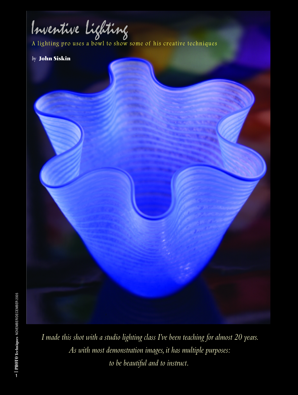Inventive Lighting

A lighting pro uses a bowl to show some of his creative techniques

# *by* **John Siskin**

*I made this shot with a studio lighting class I've been teaching for almost 20 years. As with most demonstration images, it has multiple purposes: to be beautiful and to instruct.*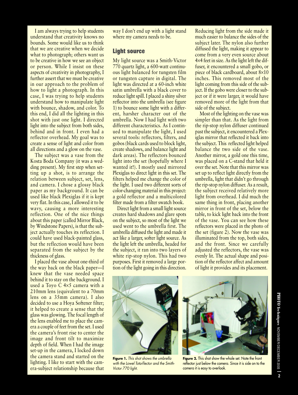**I am always trying to help students understand that creativity knows no bounds. Some would like us to think that we are creative when we decide what to photograph; others want us to be creative in how we see an object or person. While I insist on these aspects of creativity in photography, I further assert that we must be creative in our approach to the problem of how to light a photograph. In this case, I was trying to help students understand how to manipulate light with bounce, shadow, and color. To this end, I did all the lighting in this shot with just one light. I directed light into the subject from both sides, behind and in front. I even had a reflector overhead. My goal was to create a sense of light and color from all directions and a glow on the vase.**

**The subject was a vase from the Kosta Boda Company (it was a wedding present). My first step when setting up a shot, is to arrange the relation between subject, set, lens, and camera. I chose a glossy black paper as my background. It can be used like black Plexiglas if it is kept very flat. In this case, I allowed it to be wavy, causing a more interesting reflection. One of the nice things about this paper (called Mirror Black, by Windstone Papers), is that the subject actually touches its reflection. I could have used black-painted glass, but the reflection would have been separated from the subject by the thickness of glass.** 

**I placed the vase about one-third of the way back on the black paper—I knew that the vase needed space behind it to stay on the background. I used a Toyo C 4**×**5 camera with a 210mm lens (equivalent to a 70mm lens on a 35mm camera). I also decided to use a Hoya Softener filter; it helped to create a sense that the glass was glowing. The focal length of the lens enabled me to place the camera a couple of feet from the set. I used the camera's front rise to center the image and front tilt to maximize depth of field. When I had the image set-up in the camera, I locked down the camera stand and started on the lighting. I like to start with the camera-subject relationship because that**

**way I don't end up with a light stand where my camera needs to be.**

#### **Light source**

**My light source was a Smith-Victor 770 quartz light, a 600-watt continuous light balanced for tungsten film or tungsten capture in digital. The light was directed at a 60-inch white satin umbrella with a black cover to reduce light spill. I placed a shiny silver reflector into the umbrella (see figure 1) to bounce some light with a different, harsher character out of the umbrella. Now I had light with two different characteristics. As I continued to manipulate the light, I used several tools: reflectors, filters, and gobos (black cards used to block light, create shadows, and balance light and dark areas). The reflectors bounced light into the set (hopefully where I wanted it!). I mostly used mirrored Plexiglas to direct light in this set. The filters helped me change the color of the light. I used two different sorts of color-changing material in this project: a gold reflector and a multicolored filter made from a filter swatch book.** 

**Direct light from a small light source creates hard shadows and glare spots on the subject, so most of the light we used went to the umbrella first. The umbrella diffused the light and made it act like a larger, softer light source. As the light left the umbrella, headed for the subject, it ran into two layers of white rip-stop nylon. This had two purposes. First it removed a large portion of the light going in this direction.** **Reducing light from the side made it much easier to balance the sides of the subject later. The nylon also further diffused the light, making it appear to come from a very even source about 4**×**4 feet in size. As the light left the diffuser, it encountered a small gobo, or piece of black cardboard, about 8**×**10 inches. This removed most of the light coming from this side of the subject. If the gobo were closer to the subject or if it were larger, it would have removed more of the light from that side of the subject.**

**Most of the lighting on the vase was simpler than that. As the light from the rip-stop nylon diffuser continued past the subject, it encountered a Plexiglas mirror that reflected it back into the subject. This reflected light helped balance the two side of the vase. Another mirror, a gold one this time, was placed on a C-stand that held it over the set. Note that this mirror was set up to reflect light directly from the umbrella, light that didn't go through the rip-stop nylon diffuser. As a result, the subject received relatively more light from overhead. I did much the same thing in front, placing another mirror in front of the set, below the table, to kick light back into the front of the vase. You can see how these reflectors were placed in the photo of the set (figure 2). Now the vase was illuminated from the top, both sides, and the front. Since we carefully adjusted the reflectors, the vase was evenly lit. The actual shape and position of the reflector affect and amount of light it provides and its placement.** 



**Figure 1.** This shot shows the umbrella with the Lowel Tota-flector and the Smith-Victor 770 light.



**Figure 2.** This shot show the whole set. Note the front reflector just below the camera. Since it is side on to the camera it is easy to overlook.